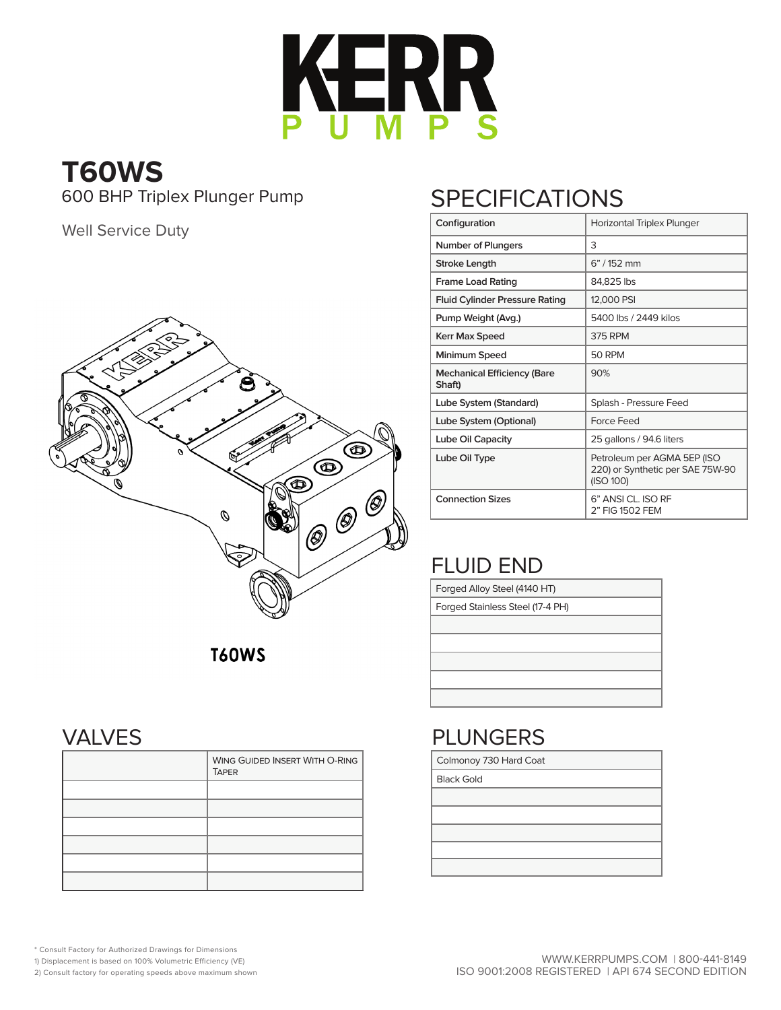

# **T60WS**

Well Service Duty



# 600 BHP Triplex Plunger Pump SPECIFICATIONS

| Configuration                         | Horizontal Triplex Plunger                                                   |
|---------------------------------------|------------------------------------------------------------------------------|
| <b>Number of Plungers</b>             | 3                                                                            |
| <b>Stroke Length</b>                  | $6" / 152$ mm                                                                |
| <b>Frame Load Rating</b>              | 84,825 lbs                                                                   |
| <b>Fluid Cylinder Pressure Rating</b> | 12,000 PSI                                                                   |
| Pump Weight (Avg.)                    | 5400 lbs / 2449 kilos                                                        |
| <b>Kerr Max Speed</b>                 | 375 RPM                                                                      |
| Minimum Speed                         | <b>50 RPM</b>                                                                |
| Mechanical Efficiency (Bare<br>Shaft) | 90%                                                                          |
| Lube System (Standard)                | Splash - Pressure Feed                                                       |
| Lube System (Optional)                | Force Feed                                                                   |
| Lube Oil Capacity                     | 25 gallons / 94.6 liters                                                     |
| Lube Oil Type                         | Petroleum per AGMA 5EP (ISO<br>220) or Synthetic per SAE 75W-90<br>(ISO 100) |
| <b>Connection Sizes</b>               | 6" ANSI CL ISO RE<br>2" FIG 1502 FEM                                         |

### FLUID END

| Forged Alloy Steel (4140 HT)     |
|----------------------------------|
| Forged Stainless Steel (17-4 PH) |
|                                  |
|                                  |
|                                  |
|                                  |
|                                  |
|                                  |

### PLUNGERS

Colmonoy 730 Hard Coat

Black Gold

**T60WS** 

#### VALVES

| <b>WING GUIDED INSERT WITH O-RING</b><br><b>TAPER</b> |
|-------------------------------------------------------|
|                                                       |
|                                                       |
|                                                       |
|                                                       |
|                                                       |
|                                                       |

\* Consult Factory for Authorized Drawings for Dimensions

1) Displacement is based on 100% Volumetric Efficiency (VE)

2) Consult factory for operating speeds above maximum shown